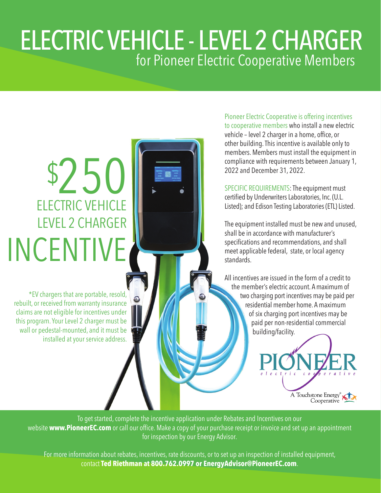## ELECTRIC VEHICLE - LEVEL 2 CHARGER for Pioneer Electric Cooperative Members

## \$250 ELECTRIC VEHICLE LEVEL 2 CHARGER INCENTIVE

\*EV chargers that are portable, resold, rebuilt, or received from warranty insurance claims are not eligible for incentives under this program. Your Level 2 charger must be wall or pedestal-mounted, and it must be installed at your service address.

Pioneer Electric Cooperative is offering incentives to cooperative members who install a new electric vehicle – level 2 charger in a home, office, or other building. This incentive is available only to members. Members must install the equipment in compliance with requirements between January 1, 2022 and December 31, 2022.

SPECIFIC REQUIREMENTS: The equipment must certified by Underwriters Laboratories, Inc. (U.L. Listed); and Edison Testing Laboratories (ETL) Listed.

The equipment installed must be new and unused, shall be in accordance with manufacturer's specifications and recommendations, and shall meet applicable federal, state, or local agency standards.

All incentives are issued in the form of a credit to the member's electric account. A maximum of two charging port incentives may be paid per residential member home. A maximum of six charging port incentives may be paid per non-residential commercial building/facility.



To get started, complete the incentive application under Rebates and Incentives on our website **www.PioneerEC.com** or call our office. Make a copy of your purchase receipt or invoice and set up an appointment for inspection by our Energy Advisor.

For more information about rebates, incentives, rate discounts, or to set up an inspection of installed equipment, contact **Ted Riethman at 800.762.0997 or EnergyAdvisor@PioneerEC.com**.